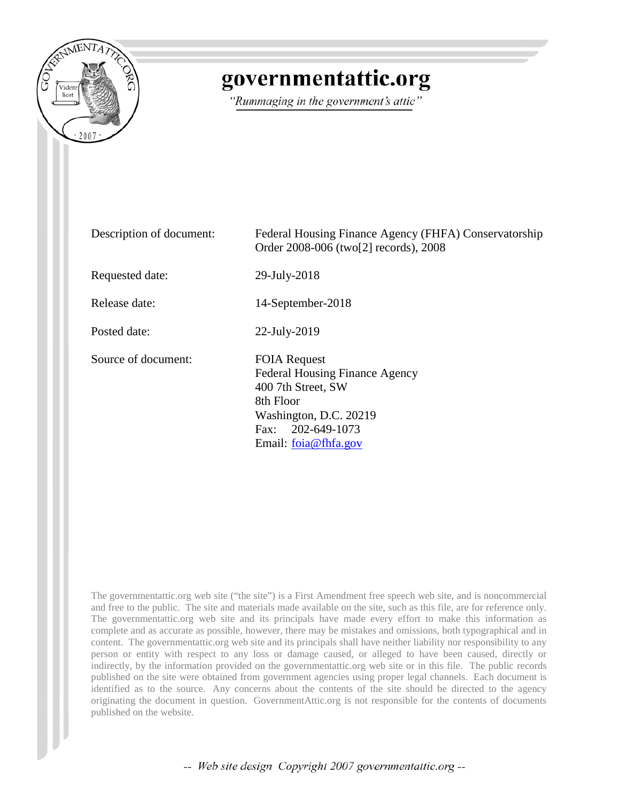

## governmentattic.org

"Rummaging in the government's attic"

| Description of document: | Federal Housing Finance Agency (FHFA) Conservatorship<br>Order 2008-006 (two <sup>[2]</sup> records), 2008                                                                |
|--------------------------|---------------------------------------------------------------------------------------------------------------------------------------------------------------------------|
| Requested date:          | 29-July-2018                                                                                                                                                              |
| Release date:            | 14-September-2018                                                                                                                                                         |
| Posted date:             | $22$ -July- $2019$                                                                                                                                                        |
| Source of document:      | <b>FOIA Request</b><br><b>Federal Housing Finance Agency</b><br>400 7th Street, SW<br>8th Floor<br>Washington, D.C. 20219<br>Fax: 202-649-1073<br>Email: $f$ oia@fhfa.gov |

The governmentattic.org web site ("the site") is a First Amendment free speech web site, and is noncommercial and free to the public. The site and materials made available on the site, such as this file, are for reference only. The governmentattic.org web site and its principals have made every effort to make this information as complete and as accurate as possible, however, there may be mistakes and omissions, both typographical and in content. The governmentattic.org web site and its principals shall have neither liability nor responsibility to any person or entity with respect to any loss or damage caused, or alleged to have been caused, directly or indirectly, by the information provided on the governmentattic.org web site or in this file. The public records published on the site were obtained from government agencies using proper legal channels. Each document is identified as to the source. Any concerns about the contents of the site should be directed to the agency originating the document in question. GovernmentAttic.org is not responsible for the contents of documents published on the website.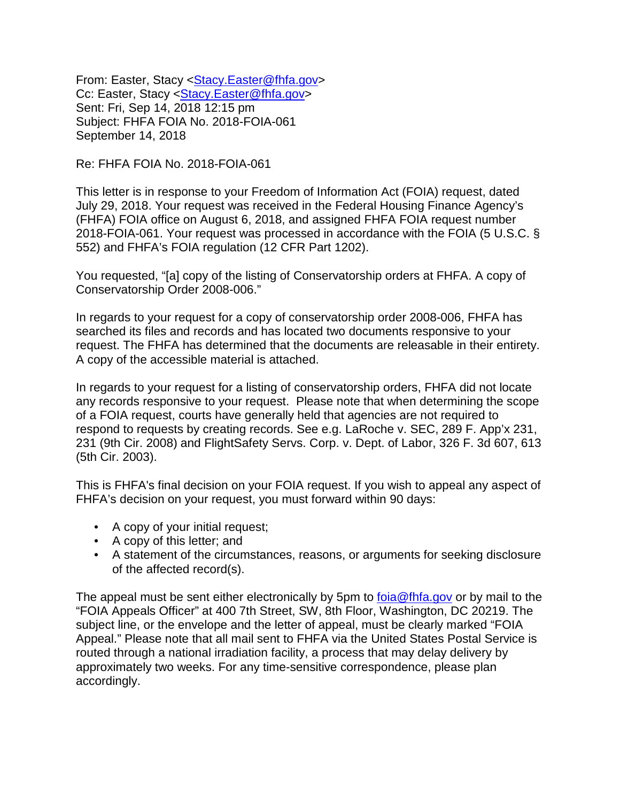From: Easter, Stacy < Stacy.Easter@fhfa.gov> Cc: Easter, Stacy < Stacy.Easter@fhfa.gov> Sent: Fri, Sep 14, 2018 12:15 pm Subject: FHFA FOIA No. 2018-FOIA-061 September 14, 2018

Re: FHFA FOIA No. 2018-FOIA-061

This letter is in response to your Freedom of Information Act (FOIA) request, dated July 29, 2018. Your request was received in the Federal Housing Finance Agency's (FHFA) FOIA office on August 6, 2018, and assigned FHFA FOIA request number 2018-FOIA-061. Your request was processed in accordance with the FOIA (5 U.S.C. § 552) and FHFA's FOIA regulation (12 CFR Part 1202).

You requested, "[a] copy of the listing of Conservatorship orders at FHFA. A copy of Conservatorship Order 2008-006."

In regards to your request for a copy of conservatorship order 2008-006, FHFA has searched its files and records and has located two documents responsive to your request. The FHFA has determined that the documents are releasable in their entirety. A copy of the accessible material is attached.

In regards to your request for a listing of conservatorship orders, FHFA did not locate any records responsive to your request. Please note that when determining the scope of a FOIA request, courts have generally held that agencies are not required to respond to requests by creating records. See e.g. LaRoche v. SEC, 289 F. App'x 231, 231 (9th Cir. 2008) and FlightSafety Servs. Corp. v. Dept. of Labor, 326 F. 3d 607, 613 (5th Cir. 2003).

This is FHFA's final decision on your FOIA request. If you wish to appeal any aspect of FHFA's decision on your request, you must forward within 90 days:

- A copy of your initial request;
- A copy of this letter; and
- A statement of the circumstances, reasons, or arguments for seeking disclosure of the affected record(s).

The appeal must be sent either electronically by 5pm to [foia@fhfa.gov](mailto:foia@fhfa.gov) or by mail to the "FOIA Appeals Officer" at 400 7th Street, SW, 8th Floor, Washington, DC 20219. The subject line, or the envelope and the letter of appeal, must be clearly marked "FOIA Appeal." Please note that all mail sent to FHFA via the United States Postal Service is routed through a national irradiation facility, a process that may delay delivery by approximately two weeks. For any time-sensitive correspondence, please plan accordingly.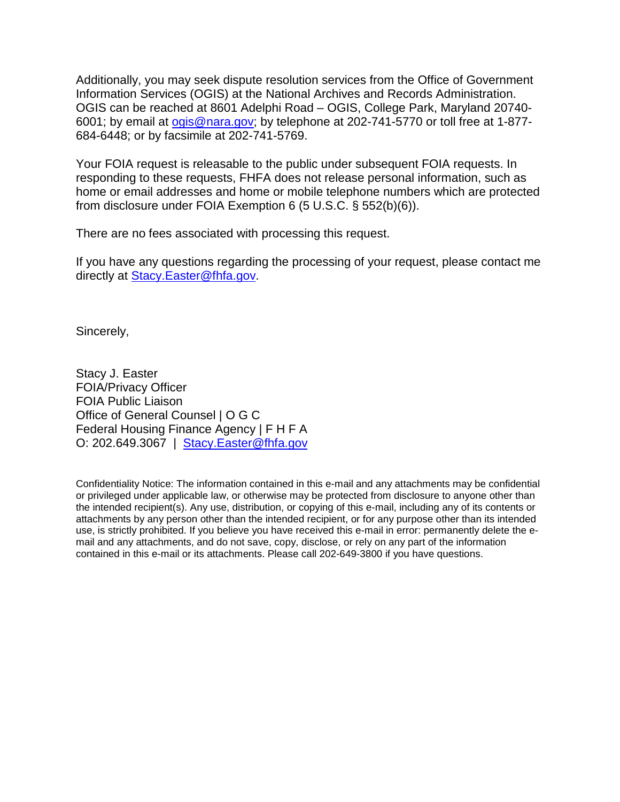Additionally, you may seek dispute resolution services from the Office of Government Information Services (OGIS) at the National Archives and Records Administration. OGIS can be reached at 8601 Adelphi Road – OGIS, College Park, Maryland 20740- 6001; by email at [ogis@nara.gov;](mailto:ogis@nara.gov) by telephone at 202-741-5770 or toll free at 1-877- 684-6448; or by facsimile at 202-741-5769.

Your FOIA request is releasable to the public under subsequent FOIA requests. In responding to these requests, FHFA does not release personal information, such as home or email addresses and home or mobile telephone numbers which are protected from disclosure under FOIA Exemption 6 (5 U.S.C. § 552(b)(6)).

There are no fees associated with processing this request.

If you have any questions regarding the processing of your request, please contact me directly at [Stacy.Easter@fhfa.gov.](mailto:Stacy.Easter@fhfa.gov)

Sincerely,

Stacy J. Easter FOIA/Privacy Officer FOIA Public Liaison Office of General Counsel | O G C Federal Housing Finance Agency | F H F A O: 202.649.3067 | [Stacy.Easter@fhfa.gov](mailto:Stacy.Easter@fhfa.gov)

Confidentiality Notice: The information contained in this e-mail and any attachments may be confidential or privileged under applicable law, or otherwise may be protected from disclosure to anyone other than the intended recipient(s). Any use, distribution, or copying of this e-mail, including any of its contents or attachments by any person other than the intended recipient, or for any purpose other than its intended use, is strictly prohibited. If you believe you have received this e-mail in error: permanently delete the email and any attachments, and do not save, copy, disclose, or rely on any part of the information contained in this e-mail or its attachments. Please call 202-649-3800 if you have questions.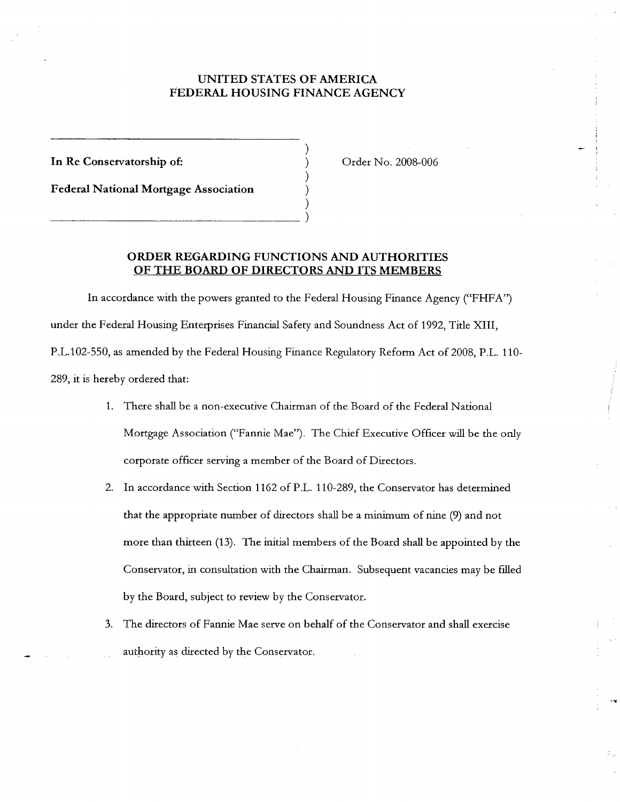## **UNITED STATES OF AMERICA FEDERAL HOUSING FINANCE AGENCY**

) ) ) ) )

**In Re Conservatorship of:** 

**Federal National Mortgage Association**   $\begin{pmatrix} 1 & 1 & 1 \\ 1 & 1 & 1 \\ 1 & 1 & 1 \\ 1 & 1 & 1 \\ 1 & 1 & 1 \\ 1 & 1 & 1 \\ 1 & 1 & 1 \\ 1 & 1 & 1 \\ 1 & 1 & 1 \\ 1 & 1 & 1 \\ 1 & 1 & 1 \\ 1 & 1 & 1 \\ 1 & 1 & 1 \\ 1 & 1 & 1 \\ 1 & 1 & 1 \\ 1 & 1 & 1 \\ 1 & 1 & 1 \\ 1 & 1 & 1 \\ 1 & 1 & 1 \\ 1 & 1 & 1 \\ 1 & 1 & 1 \\ 1 & 1 & 1 \\ 1 & 1 & 1 & 1 \\ 1 &$  Order No. 2008-006

**ORDER REGARDING FUNCTIONS AND AUTHORITIES OF THE BOARD OF DIRECTORS AND ITS MEMBERS** 

In accordance with the powers granted to the Federal Housing Finance Agency ("FHFA") under the Federal Housing Enterprises Financial Safety and Soundness Act of 1992, Title **XIII,**  P.L.102-550, as amended by the Federal Housing Finance Regulatory Reform Act of 2008, P.L. 110-289, it is hereby ordered that:

- 1. There shall be a non-executive Chairman of the Board of the Federal National Mortgage Association ("Fannie Mae"). The Chief Executive Officer will be the only corporate officer serving a member of the Board of Directors.
- 2. In accordance with Section 1162 of P.L. 110-289, the Conservator has determined that the appropriate number of directors shall be a minimum of nine (9) and not more than thirteen (13). The initial members of the Board shall be appointed by the Conservator, in consultation with the Chairman. Subsequent vacancies may be filled by the Board, subject to review by the Conservator.
- 3. The directors of Fannie Mae serve on behalf of the Conservator and shall exercise authority as directed by the Conservator.

··•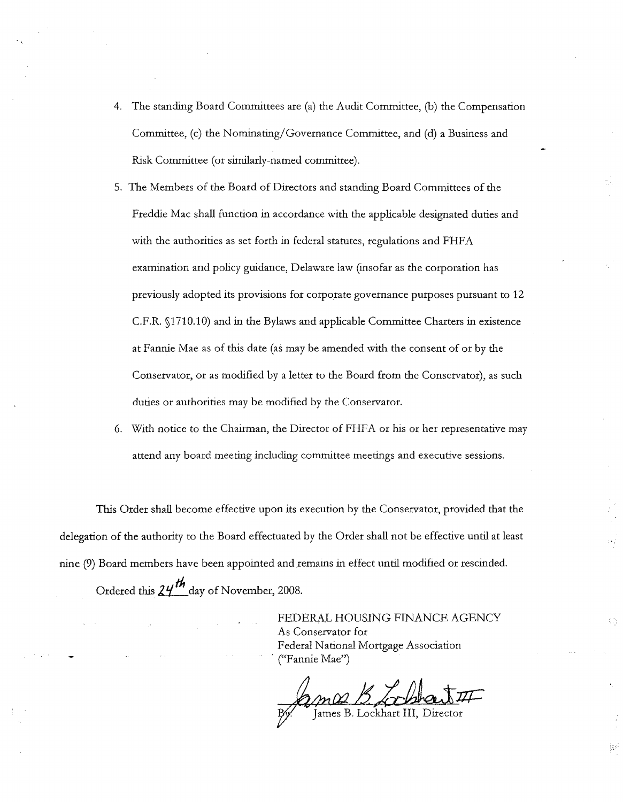- 4. The standing Board Committees are (a) the Audit Committee, (b) the Compensation Committee, (c) the Nominating/Governance Committee, and (d) a Business and Risk Committee (or similarly-named committee).
- 5. The Members of the Board of Directors and standing Board Committees of the Freddie Mac shall function in accordance with the applicable designated duties and with the authorities as set forth in federal statutes, regulations and FHFA examination and policy guidance, Delaware law (insofar as the corporation has previously adopted its provisions for corporate governance purposes pursuant to 12 C.F.R. §1710.10) and in the Bylaws and applicable Committee Charters in existence at Fannie Mae as of this date (as may be amended with the consent of or by the Conservator, or as modified by a letter to the Board from the Conservator), as such duties or authorities may be modified by the Conservator.
- 6. With notice to the Chairman, the Director of FHFA or his or her representative may attend any board meeting including committee meetings and executive sessions.

This Order shall become effective upon its execution by the Conservator, provided that the delegation of the authority to the Board effectuated by the Order shall not be effective until at least nine (9) Board members have been appointed and remains in effect until modified or rescinded. Ordered this  $24^{th}$  day of November, 2008.

> FEDERAL HOUSING FINANCE AGENCY As Conservator for Federal National Mortgage Association · ("Fannie Mae")

ma B Chel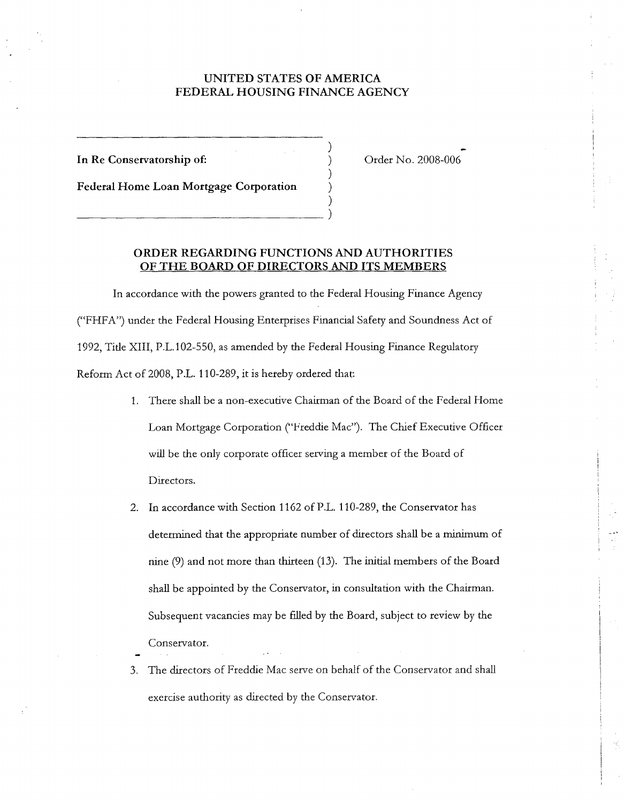## UNITED STATES OF AMERICA FEDERAL HOUSING FINANCE AGENCY

) ) ) )

In Re Conservatorship of:

Order No. 2008-006

**Federal Home Loan Mortgage Corporation**  ) \_\_\_\_\_\_\_\_\_\_\_\_ )

## **ORDER REGARDING FUNCTIONS AND AUTHORITIES OF THE BOARD OF DIRECTORS AND ITS MEMBERS**

In accordance with the powers granted to the Federal Housing Finance Agency ("FHFA") under the Federal Housing Enterprises Financial Safety and Soundness Act of 1992, Title XIII, P.L.102-550, as amended by the Federal Housing Finance Regulatory Reform Act of 2008, P.L. 110-289, it is hereby ordered that:

- 1. There shall be a non-executive Chairman of the Board of the Federal Home Loan Mortgage Corporation ("Freddie Mac"). The Chief Executive Officer will be the only corporate officer serving a member of the Board of Directors.
- 2. In accordance with Section 1162 of P.L. 110-289, the Conservator has determined that the appropriate number of directors shall be a minimum of nine (9) and not more than thirteen (13). The initial members of the Board shall be appointed by the Conservator, in consultation with the Chairman. Subsequent vacancies may be filled by the Board, subject to review by the Conservator.
- 3. The directors of Freddie Mac serve on behalf of the Conservator and shall exercise authority as directed by the Conservator.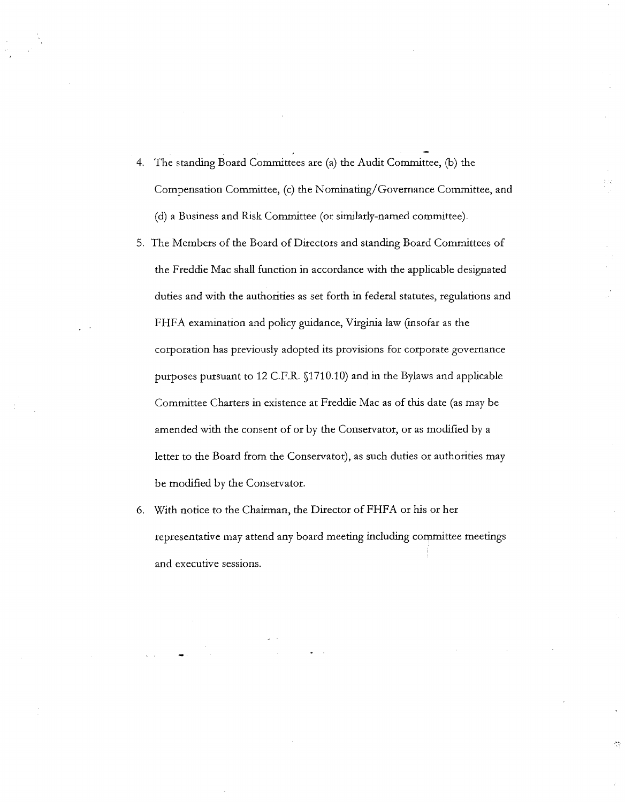- 4. The standing Board Committees are (a) the Audit Committee, (b) the Compensation Committee, (c) the Nominating/Governance Committee, and (d) a Business and Risk Committee (or similarly-named committee).
- 5. The Members of the Board of Directors and standing Board Committees of the Freddie Mac shall function in accordance with the applicable designated duties and with the authorities as set forth in federal statutes, regulations and FHFA examination and policy guidance, Virginia law (insofar as the corporation has previously adopted its provisions for corporate governance purposes pursuant to 12 C.P.R. §1710.10) and in the Bylaws and applicable Committee Charters in existence at Freddie Mac as of this date (as may be amended with the consent of or by the Conservator, or as modified by a letter to the Board from the Conservator), as such duties or authorities may be modified by the Conservator.
- 6. With notice to the Chairman, the Director of FHFA or his or her representative may attend any board meeting including committee meetings and executive sessions.